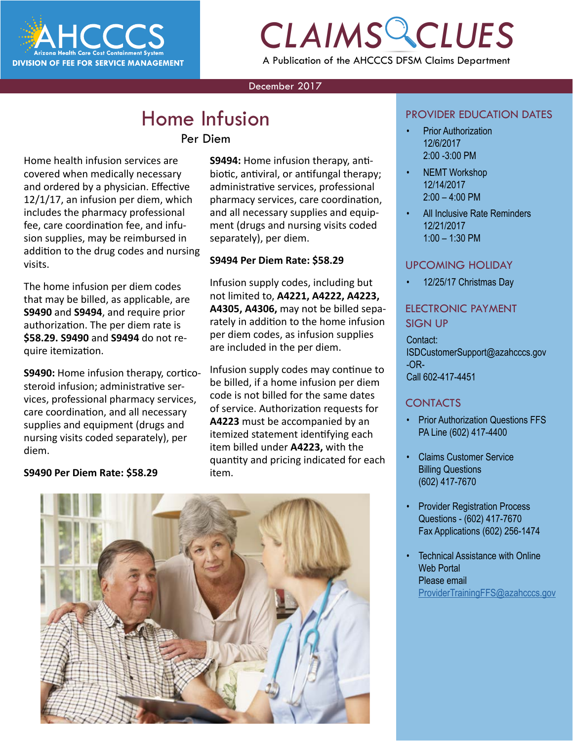

## *CLAIMS CLUES* A Publication of the AHCCCS DFSM Claims Department

#### December 2017

### **Home Infusion**

### Per Diem

Home health infusion services are covered when medically necessary and ordered by a physician. Effective 12/1/17, an infusion per diem, which includes the pharmacy professional fee, care coordination fee, and infusion supplies, may be reimbursed in addition to the drug codes and nursing visits.

The home infusion per diem codes that may be billed, as applicable, are **S9490** and **S9494**, and require prior authorization. The per diem rate is **\$58.29. S9490** and **S9494** do not require itemization.

**S9490:** Home infusion therapy, corticosteroid infusion; administrative services, professional pharmacy services, care coordination, and all necessary supplies and equipment (drugs and nursing visits coded separately), per diem.

**S9490 Per Diem Rate: \$58.29**

### **S9494:** Home infusion therapy, antibiotic, antiviral, or antifungal therapy; administrative services, professional pharmacy services, care coordination, and all necessary supplies and equipment (drugs and nursing visits coded separately), per diem.

### **S9494 Per Diem Rate: \$58.29**

Infusion supply codes, including but not limited to, **A4221, A4222, A4223, A4305, A4306,** may not be billed separately in addition to the home infusion per diem codes, as infusion supplies are included in the per diem.

Infusion supply codes may continue to be billed, if a home infusion per diem code is not billed for the same dates of service. Authorization requests for **A4223** must be accompanied by an itemized statement identifying each item billed under **A4223,** with the quantity and pricing indicated for each item.



#### PROVIDER EDUCATION DATES

- Prior Authorization 12/6/2017 2:00 -3:00 PM
- NEMT Workshop 12/14/2017  $2:00 - 4:00$  PM
- All Inclusive Rate Reminders 12/21/2017 1:00 – 1:30 PM

### UPCOMING HOLIDAY

• 12/25/17 Christmas Day

### ELECTRONIC PAYMENT SIGN UP

Contact: ISDCustomerSupport@azahcccs.gov -OR-Call 602-417-4451

### CONTACTS

- Prior Authorization Questions FFS PA Line (602) 417-4400
- Claims Customer Service Billing Questions (602) 417-7670
- Provider Registration Process Questions - (602) 417-7670 Fax Applications (602) 256-1474
- **Technical Assistance with Online** Web Portal Please email [ProviderTrainingFFS@azahcccs.gov](mailto:ProviderTrainingFFS%40azahcccs.gov%20?subject=)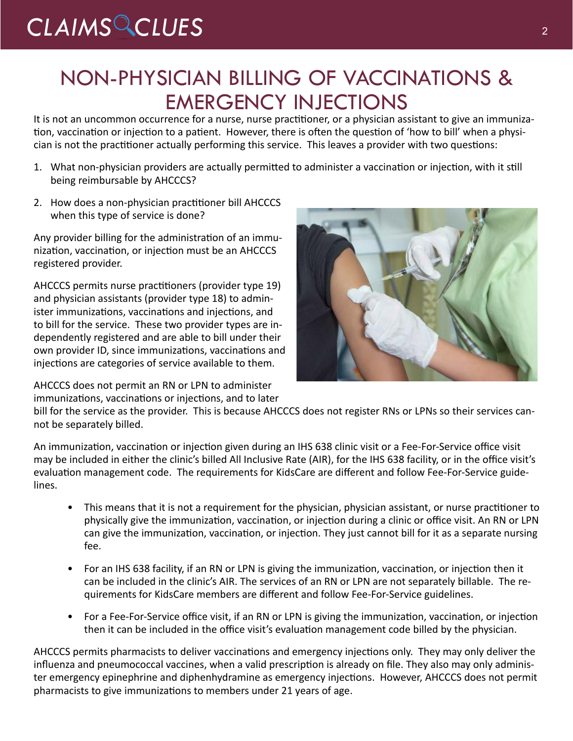## *CLAIMS CLUES* <sup>2</sup>

### NON-PHYSICIAN BILLING OF VACCINATIONS & EMERGENCY INJECTIONS

It is not an uncommon occurrence for a nurse, nurse practitioner, or a physician assistant to give an immunization, vaccination or injection to a patient. However, there is often the question of 'how to bill' when a physician is not the practitioner actually performing this service. This leaves a provider with two questions:

- 1. What non-physician providers are actually permitted to administer a vaccination or injection, with it still being reimbursable by AHCCCS?
- 2. How does a non-physician practitioner bill AHCCCS when this type of service is done?

Any provider billing for the administration of an immunization, vaccination, or injection must be an AHCCCS registered provider.

AHCCCS permits nurse practitioners (provider type 19) and physician assistants (provider type 18) to administer immunizations, vaccinations and injections, and to bill for the service. These two provider types are independently registered and are able to bill under their own provider ID, since immunizations, vaccinations and injections are categories of service available to them.

AHCCCS does not permit an RN or LPN to administer immunizations, vaccinations or injections, and to later



bill for the service as the provider. This is because AHCCCS does not register RNs or LPNs so their services cannot be separately billed.

An immunization, vaccination or injection given during an IHS 638 clinic visit or a Fee-For-Service office visit may be included in either the clinic's billed All Inclusive Rate (AIR), for the IHS 638 facility, or in the office visit's evaluation management code. The requirements for KidsCare are different and follow Fee-For-Service guidelines.

- This means that it is not a requirement for the physician, physician assistant, or nurse practitioner to physically give the immunization, vaccination, or injection during a clinic or office visit. An RN or LPN can give the immunization, vaccination, or injection. They just cannot bill for it as a separate nursing fee.
- For an IHS 638 facility, if an RN or LPN is giving the immunization, vaccination, or injection then it can be included in the clinic's AIR. The services of an RN or LPN are not separately billable. The requirements for KidsCare members are different and follow Fee-For-Service guidelines.
- For a Fee-For-Service office visit, if an RN or LPN is giving the immunization, vaccination, or injection then it can be included in the office visit's evaluation management code billed by the physician.

AHCCCS permits pharmacists to deliver vaccinations and emergency injections only. They may only deliver the influenza and pneumococcal vaccines, when a valid prescription is already on file. They also may only administer emergency epinephrine and diphenhydramine as emergency injections. However, AHCCCS does not permit pharmacists to give immunizations to members under 21 years of age.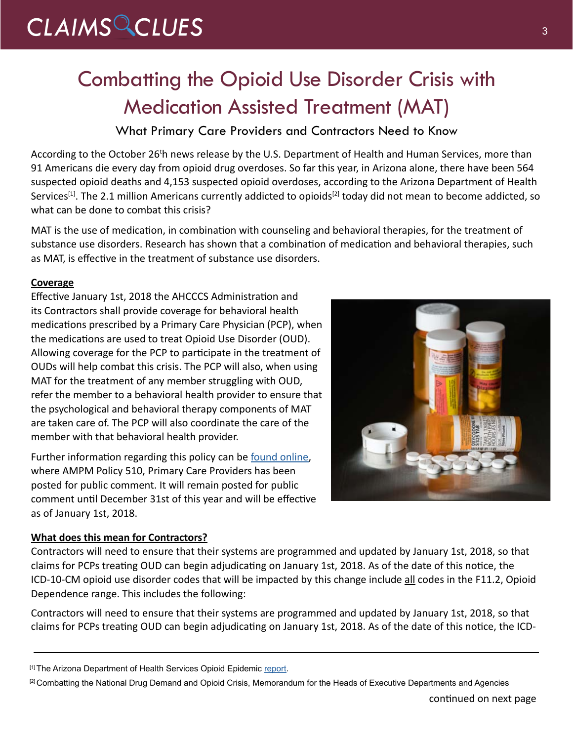## CLAIMS CLUES<sup>3</sup>

## Combatting the Opioid Use Disorder Crisis with Medication Assisted Treatment (MAT)

What Primary Care Providers and Contractors Need to Know

According to the October 26<sup>t</sup>h news release by the U.S. Department of Health and Human Services, more than 91 Americans die every day from opioid drug overdoses. So far this year, in Arizona alone, there have been 564 suspected opioid deaths and 4,153 suspected opioid overdoses, according to the Arizona Department of Health Services<sup>[1]</sup>. The 2.1 million Americans currently addicted to opioids<sup>[2]</sup> today did not mean to become addicted, so what can be done to combat this crisis?

MAT is the use of medication, in combination with counseling and behavioral therapies, for the treatment of substance use disorders. Research has shown that a combination of medication and behavioral therapies, such as MAT, is effective in the treatment of substance use disorders.

### **Coverage**

Effective January 1st, 2018 the AHCCCS Administration and its Contractors shall provide coverage for behavioral health medications prescribed by a Primary Care Physician (PCP), when the medications are used to treat Opioid Use Disorder (OUD). Allowing coverage for the PCP to participate in the treatment of OUDs will help combat this crisis. The PCP will also, when using MAT for the treatment of any member struggling with OUD, refer the member to a behavioral health provider to ensure that the psychological and behavioral therapy components of MAT are taken care of. The PCP will also coordinate the care of the member with that behavioral health provider.

Further information regarding this policy can be [found online,](https://comments.azahcccs.gov/chapter-500-care-coordination-for-maternal-and-child-health/ampm-510-primary-care-provider) where AMPM Policy 510, Primary Care Providers has been posted for public comment. It will remain posted for public comment until December 31st of this year and will be effective as of January 1st, 2018.

### **What does this mean for Contractors?**

Contractors will need to ensure that their systems are programmed and updated by January 1st, 2018, so that claims for PCPs treating OUD can begin adjudicating on January 1st, 2018. As of the date of this notice, the ICD-10-CM opioid use disorder codes that will be impacted by this change include all codes in the F11.2, Opioid Dependence range. This includes the following:

Contractors will need to ensure that their systems are programmed and updated by January 1st, 2018, so that claims for PCPs treating OUD can begin adjudicating on January 1st, 2018. As of the date of this notice, the ICD-

[1] The Arizona Department of Health Services Opioid Epidemic [report.](http://www.azdhs.gov/prevention/womens-childrens-health/injury-prevention/opioid-prevention/index.php)

<sup>[2]</sup> Combatting the National Drug Demand and Opioid Crisis, Memorandum for the Heads of Executive Departments and Agencies

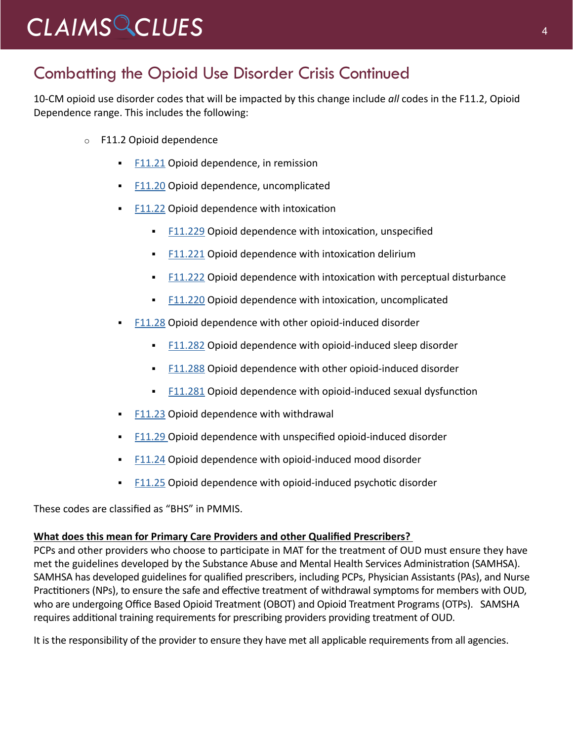## *CLAIMS CLUES* <sup>4</sup>

### Combatting the Opioid Use Disorder Crisis Continued

10-CM opioid use disorder codes that will be impacted by this change include *all* codes in the F11.2, Opioid Dependence range. This includes the following:

- o [F11.2](https://www.encoderprofp.com/epro4payers/i10cmHandler.do?_k=201*F11.2&_a=view) Opioid dependence
	- [F11.21](https://www.encoderprofp.com/epro4payers/i10cmHandler.do?_k=201*F11.21&_a=view) Opioid dependence, in remission
	- **[F11.20](https://www.encoderprofp.com/epro4payers/i10cmHandler.do?_k=201*F11.20&_a=view) Opioid dependence, uncomplicated**
	- $F11.22$  Opioid dependence with intoxication
		- [F11.229](https://www.encoderprofp.com/epro4payers/i10cmHandler.do?_k=201*F11.229&_a=view) Opioid dependence with intoxication, unspecified
		- [F11.221](https://www.encoderprofp.com/epro4payers/i10cmHandler.do?_k=201*F11.221&_a=view) Opioid dependence with intoxication delirium
		- $F11.222$  Opioid dependence with intoxication with perceptual disturbance
		- [F11.220](https://www.encoderprofp.com/epro4payers/i10cmHandler.do?_k=201*F11.220&_a=view) Opioid dependence with intoxication, uncomplicated
	- [F11.28](https://www.encoderprofp.com/epro4payers/i10cmHandler.do?_k=201*F11.28&_a=view) Opioid dependence with other opioid-induced disorder
		- [F11.282](https://www.encoderprofp.com/epro4payers/i10cmHandler.do?_k=201*F11.282&_a=view) Opioid dependence with opioid-induced sleep disorder
		- [F11.288](https://www.encoderprofp.com/epro4payers/i10cmHandler.do?_k=201*F11.288&_a=view) Opioid dependence with other opioid-induced disorder
		- [F11.281](https://www.encoderprofp.com/epro4payers/i10cmHandler.do?_k=201*F11.281&_a=view) Opioid dependence with opioid-induced sexual dysfunction
	- [F11.23](https://www.encoderprofp.com/epro4payers/i10cmHandler.do?_k=201*F11.23&_a=view) Opioid dependence with withdrawal
	- [F11.29](https://www.encoderprofp.com/epro4payers/i10cmHandler.do?_k=201*F11.29&_a=view) Opioid dependence with unspecified opioid-induced disorder
	- [F11.24](https://www.encoderprofp.com/epro4payers/i10cmHandler.do?_k=201*F11.24&_a=view) Opioid dependence with opioid-induced mood disorder
	- [F11.25](https://www.encoderprofp.com/epro4payers/i10cmHandler.do?_k=201*F11.25&_a=view) Opioid dependence with opioid-induced psychotic disorder

These codes are classified as "BHS" in PMMIS.

### **What does this mean for Primary Care Providers and other Qualified Prescribers?**

PCPs and other providers who choose to participate in MAT for the treatment of OUD must ensure they have met the guidelines developed by the Substance Abuse and Mental Health Services Administration (SAMHSA). SAMHSA has developed guidelines for qualified prescribers, including PCPs, Physician Assistants (PAs), and Nurse Practitioners (NPs), to ensure the safe and effective treatment of withdrawal symptoms for members with OUD, who are undergoing Office Based Opioid Treatment (OBOT) and Opioid Treatment Programs (OTPs). SAMSHA requires additional training requirements for prescribing providers providing treatment of OUD.

It is the responsibility of the provider to ensure they have met all applicable requirements from all agencies.